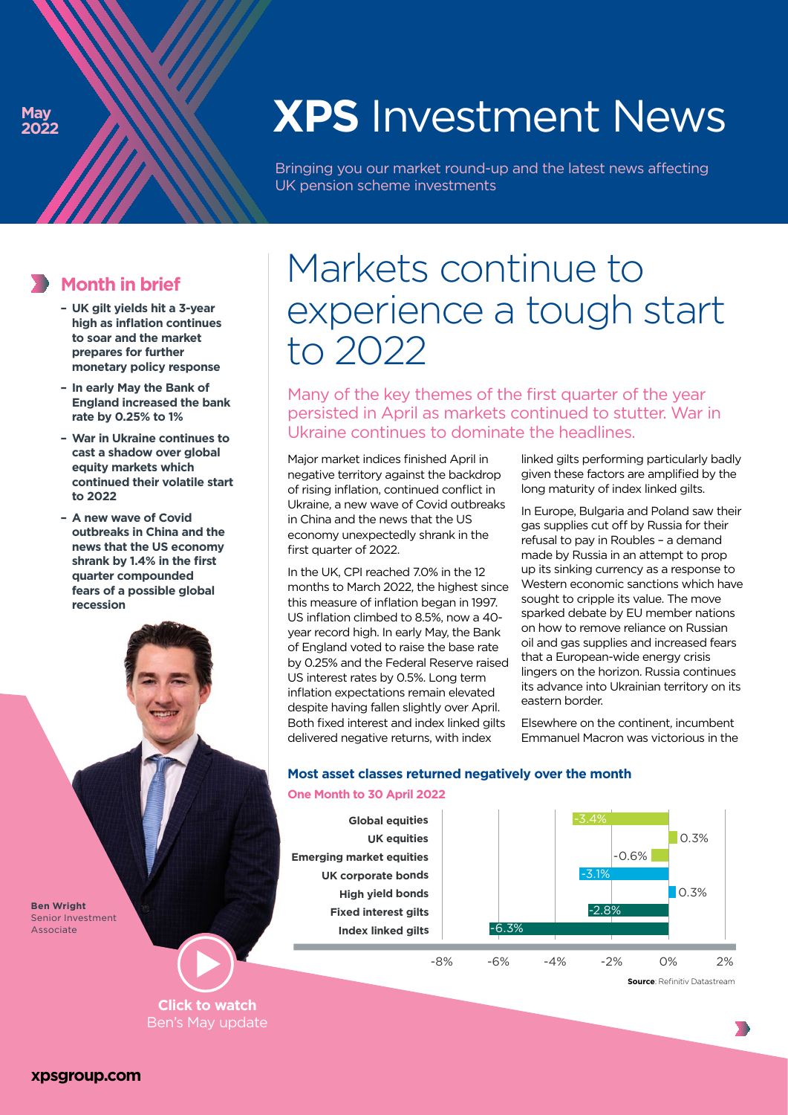# **XPS** Investment News

Bringing you our market round-up and the latest news affecting UK pension scheme investments

### **Month in brief**

- **– UK gilt yields hit a 3-year high as inflation continues to soar and the market prepares for further monetary policy response**
- **– In early May the Bank of England increased the bank rate by 0.25% to 1%**
- **War in Ukraine continues to cast a shadow over global equity markets which continued their volatile start to 2022**
- **A new wave of Covid outbreaks in China and the news that the US economy shrank by 1.4% in the first quarter compounded fears of a possible global recession**

**Ben Wright** Senior Investment Associate

#### **Click to watch**  [Ben's May update](https://www.xpsgroup.com/news-and-views/markets-continue-to-experience-a-tough-start-to-2022/)

## Markets continue to experience a tough start to 2022

Many of the key themes of the first quarter of the year persisted in April as markets continued to stutter. War in Ukraine continues to dominate the headlines.

Major market indices finished April in negative territory against the backdrop of rising inflation, continued conflict in Ukraine, a new wave of Covid outbreaks in China and the news that the US economy unexpectedly shrank in the first quarter of 2022.

In the UK, CPI reached 7.0% in the 12 months to March 2022, the highest since this measure of inflation began in 1997. US inflation climbed to 8.5%, now a 40 year record high. In early May, the Bank of England voted to raise the base rate by 0.25% and the Federal Reserve raised US interest rates by 0.5%. Long term inflation expectations remain elevated despite having fallen slightly over April. Both fixed interest and index linked gilts delivered negative returns, with index

linked gilts performing particularly badly given these factors are amplified by the long maturity of index linked gilts.

In Europe, Bulgaria and Poland saw their gas supplies cut off by Russia for their refusal to pay in Roubles – a demand made by Russia in an attempt to prop up its sinking currency as a response to Western economic sanctions which have sought to cripple its value. The move sparked debate by EU member nations on how to remove reliance on Russian oil and gas supplies and increased fears that a European-wide energy crisis lingers on the horizon. Russia continues its advance into Ukrainian territory on its eastern border.

Elsewhere on the continent, incumbent Emmanuel Macron was victorious in the

#### **Most asset classes returned negatively over the month**

#### **One Month to 30 April 2022**



**Source**: Refinitiv Datastream

▒

**[xpsgroup.com](https://www.xpsgroup.com/)**